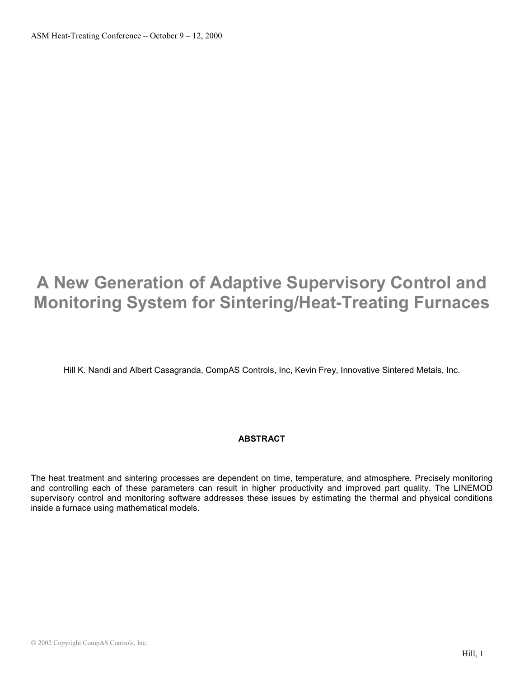# **A New Generation of Adaptive Supervisory Control and Monitoring System for Sintering/Heat-Treating Furnaces**

Hill K. Nandi and Albert Casagranda, CompAS Controls, Inc, Kevin Frey, Innovative Sintered Metals, Inc.

# **ABSTRACT**

The heat treatment and sintering processes are dependent on time, temperature, and atmosphere. Precisely monitoring and controlling each of these parameters can result in higher productivity and improved part quality. The LINEMOD supervisory control and monitoring software addresses these issues by estimating the thermal and physical conditions inside a furnace using mathematical models.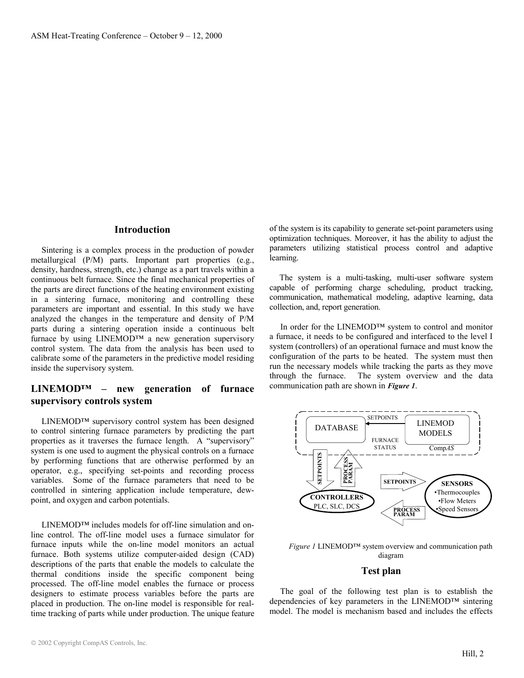#### **Introduction**

 Sintering is a complex process in the production of powder metallurgical (P/M) parts. Important part properties (e.g., density, hardness, strength, etc.) change as a part travels within a continuous belt furnace. Since the final mechanical properties of the parts are direct functions of the heating environment existing in a sintering furnace, monitoring and controlling these parameters are important and essential. In this study we have analyzed the changes in the temperature and density of P/M parts during a sintering operation inside a continuous belt furnace by using LINEMOD™ a new generation supervisory control system. The data from the analysis has been used to calibrate some of the parameters in the predictive model residing inside the supervisory system.

## **LINEMOD™ – new generation of furnace supervisory controls system**

 LINEMOD™ supervisory control system has been designed to control sintering furnace parameters by predicting the part properties as it traverses the furnace length. A "supervisory" system is one used to augment the physical controls on a furnace by performing functions that are otherwise performed by an operator, e.g., specifying set-points and recording process variables. Some of the furnace parameters that need to be controlled in sintering application include temperature, dewpoint, and oxygen and carbon potentials.

 LINEMOD™ includes models for off-line simulation and online control. The off-line model uses a furnace simulator for furnace inputs while the on-line model monitors an actual furnace. Both systems utilize computer-aided design (CAD) descriptions of the parts that enable the models to calculate the thermal conditions inside the specific component being processed. The off-line model enables the furnace or process designers to estimate process variables before the parts are placed in production. The on-line model is responsible for realtime tracking of parts while under production. The unique feature

of the system is its capability to generate set-point parameters using optimization techniques. Moreover, it has the ability to adjust the parameters utilizing statistical process control and adaptive learning.

 The system is a multi-tasking, multi-user software system capable of performing charge scheduling, product tracking, communication, mathematical modeling, adaptive learning, data collection, and, report generation.

 In order for the LINEMOD™ system to control and monitor a furnace, it needs to be configured and interfaced to the level I system (controllers) of an operational furnace and must know the configuration of the parts to be heated. The system must then run the necessary models while tracking the parts as they move through the furnace. The system overview and the data communication path are shown in *Figure 1*.



*Figure 1* LINEMOD™ system overview and communication path diagram

## **Test plan**

 The goal of the following test plan is to establish the dependencies of key parameters in the LINEMOD™ sintering model. The model is mechanism based and includes the effects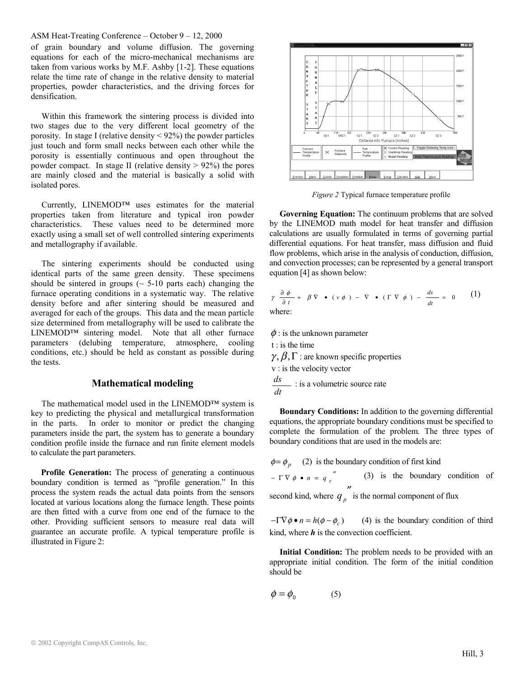#### ASM Heat-Treating Conference – October 9 – 12, 2000

of grain boundary and volume diffusion. The governing equations for each of the micro-mechanical mechanisms are taken from various works by M.F. Ashby [1-2]. These equations relate the time rate of change in the relative density to material properties, powder characteristics, and the driving forces for densification.

 Within this framework the sintering process is divided into two stages due to the very different local geometry of the porosity. In stage I (relative density < 92%) the powder particles just touch and form small necks between each other while the porosity is essentially continuous and open throughout the powder compact. In stage II (relative density  $> 92\%$ ) the pores are mainly closed and the material is basically a solid with isolated pores.

 Currently, LINEMOD™ uses estimates for the material properties taken from literature and typical iron powder characteristics. These values need to be determined more exactly using a small set of well controlled sintering experiments and metallography if available.

 The sintering experiments should be conducted using identical parts of the same green density. These specimens should be sintered in groups  $(\sim 5{\text -}10 \text{ parts each})$  changing the furnace operating conditions in a systematic way. The relative density before and after sintering should be measured and averaged for each of the groups. This data and the mean particle size determined from metallography will be used to calibrate the LINEMOD™ sintering model. Note that all other furnace parameters (delubing temperature, atmosphere, cooling conditions, etc.) should be held as constant as possible during the tests.

#### **Mathematical modeling**

 The mathematical model used in the LINEMOD™ system is key to predicting the physical and metallurgical transformation in the parts. In order to monitor or predict the changing parameters inside the part, the system has to generate a boundary condition profile inside the furnace and run finite element models to calculate the part parameters.

**Profile Generation:** The process of generating a continuous boundary condition is termed as "profile generation." In this process the system reads the actual data points from the sensors located at various locations along the furnace length. These points are then fitted with a curve from one end of the furnace to the other. Providing sufficient sensors to measure real data will guarantee an accurate profile. A typical temperature profile is illustrated in Figure 2:



*Figure 2* Typical furnace temperature profile

 **Governing Equation:** The continuum problems that are solved by the LINEMOD math model for heat transfer and diffusion calculations are usually formulated in terms of governing partial differential equations. For heat transfer, mass diffusion and fluid flow problems, which arise in the analysis of conduction, diffusion, and convection processes; can be represented by a general transport equation [4] as shown below:

$$
\gamma \frac{\partial \phi}{\partial t} + \beta \nabla \cdot (\nu \phi) - \nabla \cdot (\Gamma \nabla \phi) - \frac{ds}{dt} = 0 \qquad (1)
$$
  
where:

 $\phi$ : is the unknown parameter

t : is the time

 $\gamma$ ,  $\beta$ ,  $\Gamma$  : are known specific properties

v : is the velocity vector

*dt ds* : is a volumetric source rate

 **Boundary Conditions:** In addition to the governing differential equations, the appropriate boundary conditions must be specified to complete the formulation of the problem. The three types of boundary conditions that are used in the models are:

 $\phi = \phi_p$  (2) is the boundary condition of first kind

 $-\Gamma \nabla \phi \bullet n = q_p$  (3) is the boundary condition of second kind, where  $q_p$  is the normal component of flux

 $-\Gamma \nabla \phi \cdot n = h(\phi - \phi_c)$  (4) is the boundary condition of third kind, where  $h$  is the convection coefficient.

 **Initial Condition:** The problem needs to be provided with an appropriate initial condition. The form of the initial condition should be

$$
\phi = \phi_0 \tag{5}
$$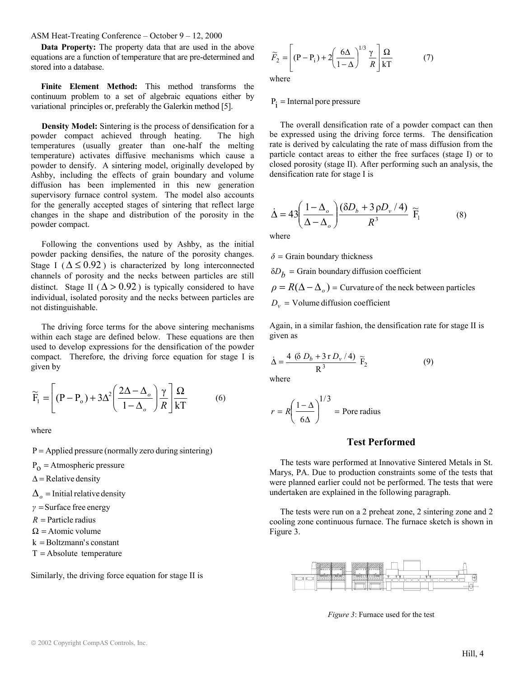ASM Heat-Treating Conference – October 9 – 12, 2000

 **Data Property:** The property data that are used in the above equations are a function of temperature that are pre-determined and stored into a database.

 **Finite Element Method:** This method transforms the continuum problem to a set of algebraic equations either by variational principles or, preferably the Galerkin method [5].

 **Density Model:** Sintering is the process of densification for a powder compact achieved through heating. The high temperatures (usually greater than one-half the melting temperature) activates diffusive mechanisms which cause a powder to densify. A sintering model, originally developed by Ashby, including the effects of grain boundary and volume diffusion has been implemented in this new generation supervisory furnace control system. The model also accounts for the generally accepted stages of sintering that reflect large changes in the shape and distribution of the porosity in the powder compact.

 Following the conventions used by Ashby, as the initial powder packing densifies, the nature of the porosity changes. Stage I ( $\Delta \le 0.92$ ) is characterized by long interconnected channels of porosity and the necks between particles are still distinct. Stage II ( $\Delta > 0.92$ ) is typically considered to have individual, isolated porosity and the necks between particles are not distinguishable.

 The driving force terms for the above sintering mechanisms within each stage are defined below. These equations are then used to develop expressions for the densification of the powder compact. Therefore, the driving force equation for stage I is given by

$$
\widetilde{F}_1 = \left[ (P - P_o) + 3\Delta^2 \left( \frac{2\Delta - \Delta_o}{1 - \Delta_o} \right) \frac{\gamma}{R} \right] \frac{\Omega}{kT}
$$
(6)

where

 $P =$  Applied pressure (normally zero during sintering)

 $P_{\Omega}$  = Atmospheric pressure

 $\Delta$  = Relative density

 $\Delta$ <sub>o</sub> = Initial relative density

- *γ* = Surface free energy
- $R =$  Particle radius
- $\Omega$  = Atomic volume
- $k = Boltzmann's constant$
- $T =$ Absolute temperature

Similarly, the driving force equation for stage II is

$$
\widetilde{F}_2 = \left[ (\mathbf{P} - \mathbf{P}_i) + 2 \left( \frac{6\Delta}{1 - \Delta} \right)^{1/3} \frac{\gamma}{R} \right] \frac{\Omega}{kT}
$$
(7)

where

#### $P_i$  = Internal pore pressure

 The overall densification rate of a powder compact can then be expressed using the driving force terms. The densification rate is derived by calculating the rate of mass diffusion from the particle contact areas to either the free surfaces (stage I) or to closed porosity (stage II). After performing such an analysis, the densification rate for stage I is

$$
\dot{\Delta} = 43 \left( \frac{1 - \Delta_o}{\Delta - \Delta_o} \right) \frac{(\delta D_b + 3 \rho D_v / 4)}{R^3} \widetilde{F}_1
$$
 (8)

where

 $\delta$  = Grain boundary thickness

 $\delta D_h$  = Grain boundary diffusion coefficient

 $\rho = R(\Delta - \Delta_{o})$  = Curvature of the neck between particles  $D_v$  = Volume diffusion coefficient

Again, in a similar fashion, the densification rate for stage II is given as

$$
\dot{\Delta} = \frac{4 ( \delta D_b + 3 r D_v / 4 )}{R^3} \tilde{F}_2
$$
 (9)

where

$$
r = R \left(\frac{1-\Delta}{6\Delta}\right)^{1/3} = \text{Pore radius}
$$

## **Test Performed**

 The tests ware performed at Innovative Sintered Metals in St. Marys, PA. Due to production constraints some of the tests that were planned earlier could not be performed. The tests that were undertaken are explained in the following paragraph.

 The tests were run on a 2 preheat zone, 2 sintering zone and 2 cooling zone continuous furnace. The furnace sketch is shown in Figure 3.



*Figure 3*: Furnace used for the test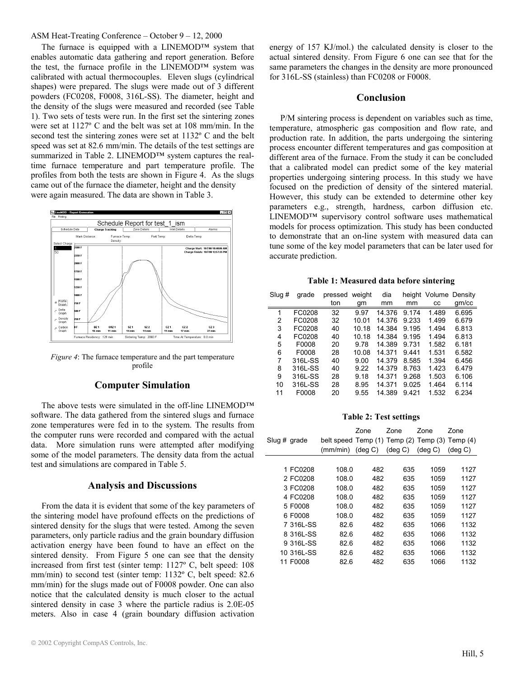### ASM Heat-Treating Conference – October 9 – 12, 2000

 The furnace is equipped with a LINEMOD™ system that enables automatic data gathering and report generation. Before the test, the furnace profile in the LINEMOD™ system was calibrated with actual thermocouples. Eleven slugs (cylindrical shapes) were prepared. The slugs were made out of 3 different powders (FC0208, F0008, 316L-SS). The diameter, height and the density of the slugs were measured and recorded (see Table 1). Two sets of tests were run. In the first set the sintering zones were set at 1127º C and the belt was set at 108 mm/min. In the second test the sintering zones were set at 1132º C and the belt speed was set at 82.6 mm/min. The details of the test settings are summarized in Table 2. LINEMOD<sup>™</sup> system captures the realtime furnace temperature and part temperature profile. The profiles from both the tests are shown in Figure 4. As the slugs came out of the furnace the diameter, height and the density were again measured. The data are shown in Table 3.



*Figure 4*: The furnace temperature and the part temperature profile

## **Computer Simulation**

 The above tests were simulated in the off-line LINEMOD™ software. The data gathered from the sintered slugs and furnace zone temperatures were fed in to the system. The results from the computer runs were recorded and compared with the actual data. More simulation runs were attempted after modifying some of the model parameters. The density data from the actual test and simulations are compared in Table 5.

### **Analysis and Discussions**

 From the data it is evident that some of the key parameters of the sintering model have profound effects on the predictions of sintered density for the slugs that were tested. Among the seven parameters, only particle radius and the grain boundary diffusion activation energy have been found to have an effect on the sintered density. From Figure 5 one can see that the density increased from first test (sinter temp: 1127º C, belt speed: 108 mm/min) to second test (sinter temp: 1132º C, belt speed: 82.6 mm/min) for the slugs made out of F0008 powder. One can also notice that the calculated density is much closer to the actual sintered density in case 3 where the particle radius is 2.0E-05 meters. Also in case 4 (grain boundary diffusion activation

energy of 157 KJ/mol.) the calculated density is closer to the actual sintered density. From Figure 6 one can see that for the same parameters the changes in the density are more pronounced for 316L-SS (stainless) than FC0208 or F0008.

## **Conclusion**

 P/M sintering process is dependent on variables such as time, temperature, atmospheric gas composition and flow rate, and production rate. In addition, the parts undergoing the sintering process encounter different temperatures and gas composition at different area of the furnace. From the study it can be concluded that a calibrated model can predict some of the key material properties undergoing sintering process. In this study we have focused on the prediction of density of the sintered material. However, this study can be extended to determine other key parameters e.g., strength, hardness, carbon diffusion etc. LINEMOD™ supervisory control software uses mathematical models for process optimization. This study has been conducted to demonstrate that an on-line system with measured data can tune some of the key model parameters that can be later used for accurate prediction.

**Table 1: Measured data before sintering** 

| Slug # | grade   | pressed | weight | dia    |         | height Volume Density |       |
|--------|---------|---------|--------|--------|---------|-----------------------|-------|
|        |         | ton     | gm     | mm     | mm      | CC                    | gm/cc |
| 1      | FC0208  | 32      | 9.97   | 14.376 | 9.174   | 1.489                 | 6.695 |
| 2      | FC0208  | 32      | 10.01  | 14 376 | 9.233   | 1.499                 | 6.679 |
| 3      | FC0208  | 40      | 10.18  | 14.384 | 9.195   | 1.494                 | 6.813 |
| 4      | FC0208  | 40      | 10.18  | 14.384 | 9 1 9 5 | 1.494                 | 6.813 |
| 5      | F0008   | 20      | 9.78   | 14.389 | 9.731   | 1.582                 | 6.181 |
| 6      | F0008   | 28      | 10.08  | 14 371 | 9441    | 1.531                 | 6.582 |
| 7      | 316L-SS | 40      | 9.00   | 14.379 | 8.585   | 1.394                 | 6.456 |
| 8      | 316L-SS | 40      | 9.22   | 14.379 | 8.763   | 1.423                 | 6.479 |
| 9      | 316L-SS | 28      | 9.18   | 14.371 | 9.268   | 1.503                 | 6.106 |
| 10     | 316L-SS | 28      | 8.95   | 14 371 | 9.025   | 1.464                 | 6.114 |
| 11     | F0008   | 20      | 9.55   | 14.389 | 9.421   | 1.532                 | 6.234 |
|        |         |         |        |        |         |                       |       |

**Table 2: Test settings** 

| Slug # grade |            | belt speed Temp (1) Temp (2)<br>(mm/min) | Zone<br>$(\text{deg } C)$ | Zone<br>$(\text{deg } C)$ | Zone<br>Temp (3)<br>$(\text{deg } C)$ | Zone<br>Temp (4)<br>$(\text{deg } C)$ |
|--------------|------------|------------------------------------------|---------------------------|---------------------------|---------------------------------------|---------------------------------------|
|              |            |                                          |                           |                           |                                       |                                       |
|              | 1 FC0208   | 108.0                                    | 482                       | 635                       | 1059                                  | 1127                                  |
|              | 2 FC0208   | 108.0                                    | 482                       | 635                       | 1059                                  | 1127                                  |
|              | 3 FC0208   | 108.0                                    | 482                       | 635                       | 1059                                  | 1127                                  |
|              | 4 FC0208   | 108.0                                    | 482                       | 635                       | 1059                                  | 1127                                  |
|              | 5 F0008    | 108.0                                    | 482                       | 635                       | 1059                                  | 1127                                  |
|              | 6 F0008    | 108.0                                    | 482                       | 635                       | 1059                                  | 1127                                  |
|              | 7 316L-SS  | 82.6                                     | 482                       | 635                       | 1066                                  | 1132                                  |
|              | 8 316L-SS  | 82.6                                     | 482                       | 635                       | 1066                                  | 1132                                  |
|              | 9 316L-SS  | 82.6                                     | 482                       | 635                       | 1066                                  | 1132                                  |
|              | 10 316L-SS | 82.6                                     | 482                       | 635                       | 1066                                  | 1132                                  |
|              | 11 F0008   | 82.6                                     | 482                       | 635                       | 1066                                  | 1132                                  |
|              |            |                                          |                           |                           |                                       |                                       |